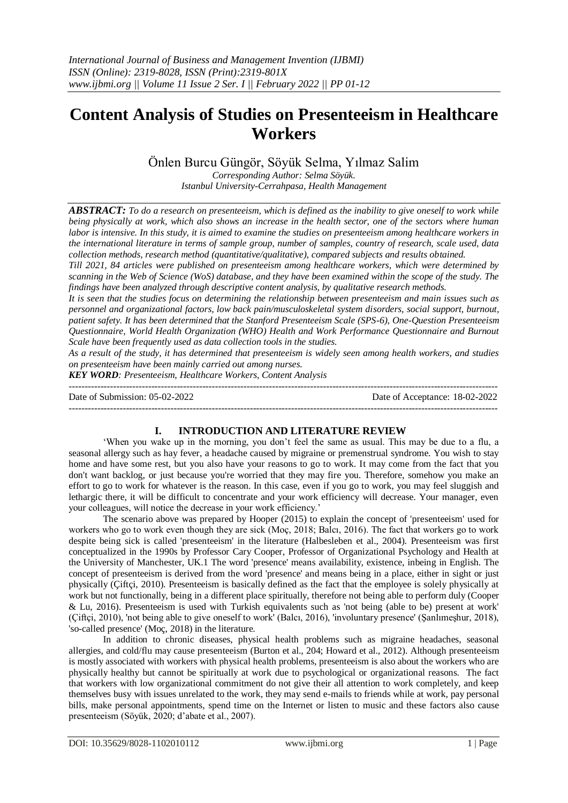# **Content Analysis of Studies on Presenteeism in Healthcare Workers**

Önlen Burcu Güngör, Söyük Selma, Yılmaz Salim *Corresponding Author: Selma Söyük. Istanbul University-Cerrahpasa, Health Management*

*ABSTRACT: To do a research on presenteeism, which is defined as the inability to give oneself to work while being physically at work, which also shows an increase in the health sector, one of the sectors where human labor is intensive. In this study, it is aimed to examine the studies on presenteeism among healthcare workers in the international literature in terms of sample group, number of samples, country of research, scale used, data collection methods, research method (quantitative/qualitative), compared subjects and results obtained.* 

*Till 2021, 84 articles were published on presenteeism among healthcare workers, which were determined by scanning in the Web of Science (WoS) database, and they have been examined within the scope of the study. The findings have been analyzed through descriptive content analysis, by qualitative research methods.* 

*It is seen that the studies focus on determining the relationship between presenteeism and main issues such as personnel and organizational factors, low back pain/musculoskeletal system disorders, social support, burnout, patient safety. It has been determined that the Stanford Presenteeism Scale (SPS-6), One-Question Presenteeism Questionnaire, World Health Organization (WHO) Health and Work Performance Questionnaire and Burnout Scale have been frequently used as data collection tools in the studies.* 

*As a result of the study, it has determined that presenteeism is widely seen among health workers, and studies on presenteeism have been mainly carried out among nurses.*

*KEY WORD: Presenteeism, Healthcare Workers, Content Analysis*

| Date of Submission: 05-02-2022 | Date of Acceptance: 18-02-2022 |
|--------------------------------|--------------------------------|
|                                |                                |

## **I. INTRODUCTION AND LITERATURE REVIEW**

'When you wake up in the morning, you don't feel the same as usual. This may be due to a flu, a seasonal allergy such as hay fever, a headache caused by migraine or premenstrual syndrome. You wish to stay home and have some rest, but you also have your reasons to go to work. It may come from the fact that you don't want backlog, or just because you're worried that they may fire you. Therefore, somehow you make an effort to go to work for whatever is the reason. In this case, even if you go to work, you may feel sluggish and lethargic there, it will be difficult to concentrate and your work efficiency will decrease. Your manager, even your colleagues, will notice the decrease in your work efficiency.'

The scenario above was prepared by Hooper (2015) to explain the concept of 'presenteeism' used for workers who go to work even though they are sick (Moç, 2018; Balcı, 2016). The fact that workers go to work despite being sick is called 'presenteeism' in the literature (Halbesleben et al., 2004). Presenteeism was first conceptualized in the 1990s by Professor Cary Cooper, Professor of Organizational Psychology and Health at the University of Manchester, UK.1 The word 'presence' means availability, existence, inbeing in English. The concept of presenteeism is derived from the word 'presence' and means being in a place, either in sight or just physically (Çiftçi, 2010). Presenteeism is basically defined as the fact that the employee is solely physically at work but not functionally, being in a different place spiritually, therefore not being able to perform duly (Cooper & Lu, 2016). Presenteeism is used with Turkish equivalents such as 'not being (able to be) present at work' (Çiftçi, 2010), 'not being able to give oneself to work' (Balcı, 2016), 'involuntary presence' (Şanlımeşhur, 2018), 'so-called presence' (Moç, 2018) in the literature.

In addition to chronic diseases, physical health problems such as migraine headaches, seasonal allergies, and cold/flu may cause presenteeism (Burton et al., 204; Howard et al., 2012). Although presenteeism is mostly associated with workers with physical health problems, presenteeism is also about the workers who are physically healthy but cannot be spiritually at work due to psychological or organizational reasons. The fact that workers with low organizational commitment do not give their all attention to work completely, and keep themselves busy with issues unrelated to the work, they may send e-mails to friends while at work, pay personal bills, make personal appointments, spend time on the Internet or listen to music and these factors also cause presenteeism (Söyük, 2020; d'abate et al., 2007).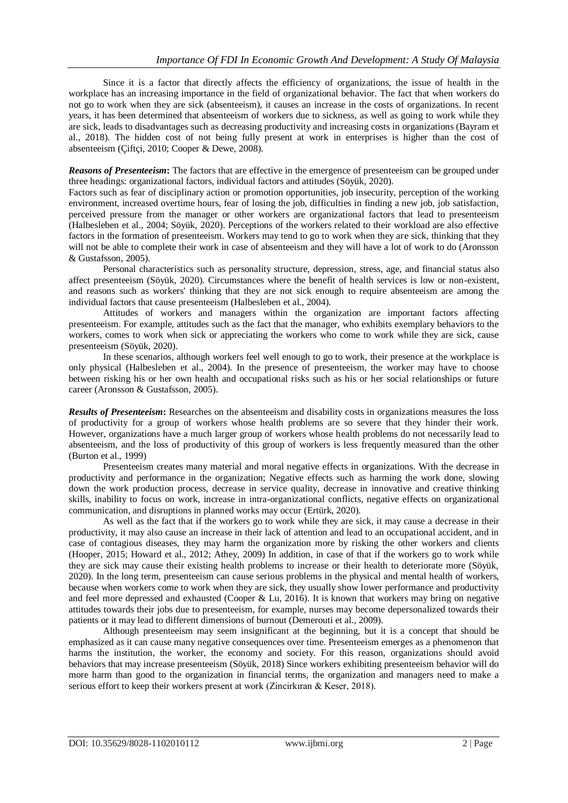Since it is a factor that directly affects the efficiency of organizations, the issue of health in the workplace has an increasing importance in the field of organizational behavior. The fact that when workers do not go to work when they are sick (absenteeism), it causes an increase in the costs of organizations. In recent years, it has been determined that absenteeism of workers due to sickness, as well as going to work while they are sick, leads to disadvantages such as decreasing productivity and increasing costs in organizations (Bayram et al., 2018). The hidden cost of not being fully present at work in enterprises is higher than the cost of absenteeism (Çiftçi, 2010; Cooper & Dewe, 2008).

*Reasons of Presenteeism***:** The factors that are effective in the emergence of presenteeism can be grouped under three headings: organizational factors, individual factors and attitudes (Söyük, 2020).

Factors such as fear of disciplinary action or promotion opportunities, job insecurity, perception of the working environment, increased overtime hours, fear of losing the job, difficulties in finding a new job, job satisfaction, perceived pressure from the manager or other workers are organizational factors that lead to presenteeism (Halbesleben et al., 2004; Söyük, 2020). Perceptions of the workers related to their workload are also effective factors in the formation of presenteeism. Workers may tend to go to work when they are sick, thinking that they will not be able to complete their work in case of absenteeism and they will have a lot of work to do (Aronsson & Gustafsson, 2005).

Personal characteristics such as personality structure, depression, stress, age, and financial status also affect presenteeism (Söyük, 2020). Circumstances where the benefit of health services is low or non-existent, and reasons such as workers' thinking that they are not sick enough to require absenteeism are among the individual factors that cause presenteeism (Halbesleben et al., 2004).

Attitudes of workers and managers within the organization are important factors affecting presenteeism. For example, attitudes such as the fact that the manager, who exhibits exemplary behaviors to the workers, comes to work when sick or appreciating the workers who come to work while they are sick, cause presenteeism (Söyük, 2020).

In these scenarios, although workers feel well enough to go to work, their presence at the workplace is only physical (Halbesleben et al., 2004). In the presence of presenteeism, the worker may have to choose between risking his or her own health and occupational risks such as his or her social relationships or future career (Aronsson & Gustafsson, 2005).

*Results of Presenteeism***:** Researches on the absenteeism and disability costs in organizations measures the loss of productivity for a group of workers whose health problems are so severe that they hinder their work. However, organizations have a much larger group of workers whose health problems do not necessarily lead to absenteeism, and the loss of productivity of this group of workers is less frequently measured than the other (Burton et al., 1999)

Presenteeism creates many material and moral negative effects in organizations. With the decrease in productivity and performance in the organization; Negative effects such as harming the work done, slowing down the work production process, decrease in service quality, decrease in innovative and creative thinking skills, inability to focus on work, increase in intra-organizational conflicts, negative effects on organizational communication, and disruptions in planned works may occur (Ertürk, 2020).

As well as the fact that if the workers go to work while they are sick, it may cause a decrease in their productivity, it may also cause an increase in their lack of attention and lead to an occupational accident, and in case of contagious diseases, they may harm the organization more by risking the other workers and clients (Hooper, 2015; Howard et al., 2012; Athey, 2009) In addition, in case of that if the workers go to work while they are sick may cause their existing health problems to increase or their health to deteriorate more (Söyük, 2020). In the long term, presenteeism can cause serious problems in the physical and mental health of workers, because when workers come to work when they are sick, they usually show lower performance and productivity and feel more depressed and exhausted (Cooper & Lu, 2016). It is known that workers may bring on negative attitudes towards their jobs due to presenteeism, for example, nurses may become depersonalized towards their patients or it may lead to different dimensions of burnout (Demerouti et al., 2009).

Although presenteeism may seem insignificant at the beginning, but it is a concept that should be emphasized as it can cause many negative consequences over time. Presenteeism emerges as a phenomenon that harms the institution, the worker, the economy and society. For this reason, organizations should avoid behaviors that may increase presenteeism (Söyük, 2018) Since workers exhibiting presenteeism behavior will do more harm than good to the organization in financial terms, the organization and managers need to make a serious effort to keep their workers present at work (Zincirkıran & Keser, 2018).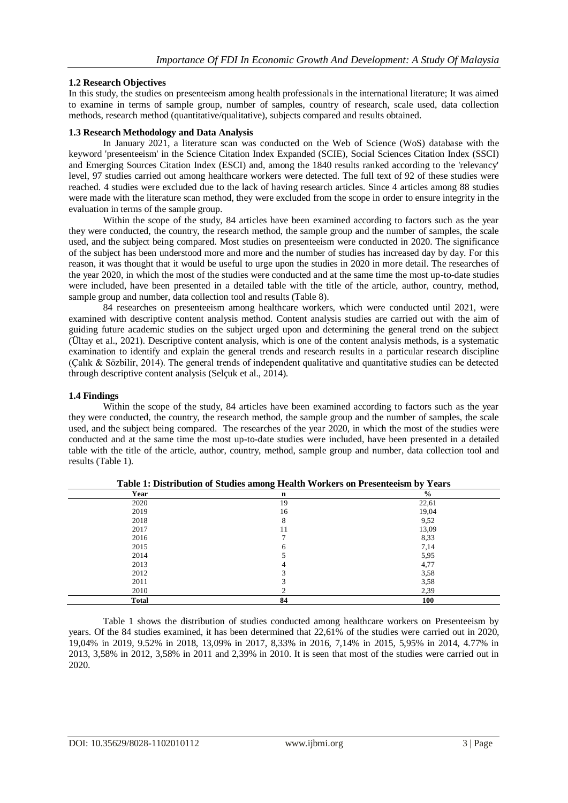## **1.2 Research Objectives**

In this study, the studies on presenteeism among health professionals in the international literature; It was aimed to examine in terms of sample group, number of samples, country of research, scale used, data collection methods, research method (quantitative/qualitative), subjects compared and results obtained.

#### **1.3 Research Methodology and Data Analysis**

In January 2021, a literature scan was conducted on the Web of Science (WoS) database with the keyword 'presenteeism' in the Science Citation Index Expanded (SCIE), Social Sciences Citation Index (SSCI) and Emerging Sources Citation Index (ESCI) and, among the 1840 results ranked according to the 'relevancy' level, 97 studies carried out among healthcare workers were detected. The full text of 92 of these studies were reached. 4 studies were excluded due to the lack of having research articles. Since 4 articles among 88 studies were made with the literature scan method, they were excluded from the scope in order to ensure integrity in the evaluation in terms of the sample group.

Within the scope of the study, 84 articles have been examined according to factors such as the year they were conducted, the country, the research method, the sample group and the number of samples, the scale used, and the subject being compared. Most studies on presenteeism were conducted in 2020. The significance of the subject has been understood more and more and the number of studies has increased day by day. For this reason, it was thought that it would be useful to urge upon the studies in 2020 in more detail. The researches of the year 2020, in which the most of the studies were conducted and at the same time the most up-to-date studies were included, have been presented in a detailed table with the title of the article, author, country, method, sample group and number, data collection tool and results (Table 8).

84 researches on presenteeism among healthcare workers, which were conducted until 2021, were examined with descriptive content analysis method. Content analysis studies are carried out with the aim of guiding future academic studies on the subject urged upon and determining the general trend on the subject (Ültay et al., 2021). Descriptive content analysis, which is one of the content analysis methods, is a systematic examination to identify and explain the general trends and research results in a particular research discipline (Çalık & Sözbilir, 2014). The general trends of independent qualitative and quantitative studies can be detected through descriptive content analysis (Selçuk et al., 2014).

#### **1.4 Findings**

Within the scope of the study, 84 articles have been examined according to factors such as the year they were conducted, the country, the research method, the sample group and the number of samples, the scale used, and the subject being compared. The researches of the year 2020, in which the most of the studies were conducted and at the same time the most up-to-date studies were included, have been presented in a detailed table with the title of the article, author, country, method, sample group and number, data collection tool and results (Table 1).

| $    -$      |             |               |
|--------------|-------------|---------------|
| Year         | $\mathbf n$ | $\frac{1}{2}$ |
| 2020         | 19          | 22,61         |
| 2019         | 16          | 19,04         |
| 2018         | 8           | 9,52          |
| 2017         | 11          | 13,09         |
| 2016         |             | 8,33          |
| 2015         | 6           | 7,14          |
| 2014         |             | 5,95          |
| 2013         | 4           | 4,77          |
| 2012         | $\sqrt{2}$  | 3,58          |
| 2011         |             | 3,58          |
| 2010         |             | 2,39          |
| <b>Total</b> | 84          | 100           |

**Table 1: Distribution of Studies among Health Workers on Presenteeism by Years**

Table 1 shows the distribution of studies conducted among healthcare workers on Presenteeism by years. Of the 84 studies examined, it has been determined that 22,61% of the studies were carried out in 2020, 19,04% in 2019, 9.52% in 2018, 13,09% in 2017, 8,33% in 2016, 7,14% in 2015, 5,95% in 2014, 4.77% in 2013, 3,58% in 2012, 3,58% in 2011 and 2,39% in 2010. It is seen that most of the studies were carried out in 2020.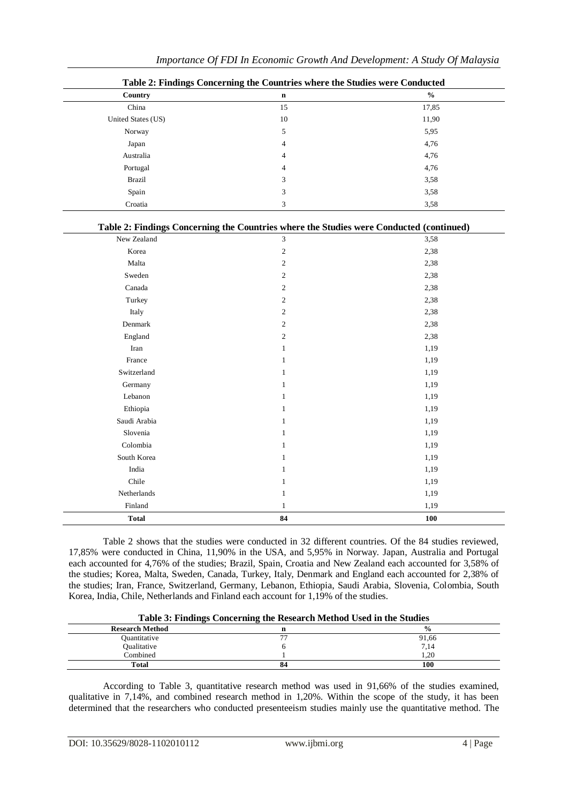| Country            | $\mathbf n$                                                                             | $\frac{0}{0}$ |
|--------------------|-----------------------------------------------------------------------------------------|---------------|
| China              | 15                                                                                      | 17,85         |
| United States (US) | $10\,$                                                                                  | 11,90         |
| Norway             | $\sqrt{5}$                                                                              | 5,95          |
| Japan              | $\overline{4}$                                                                          | 4,76          |
| Australia          | $\overline{4}$                                                                          | 4,76          |
| Portugal           | $\overline{4}$                                                                          | 4,76          |
| <b>Brazil</b>      | 3                                                                                       | 3,58          |
| Spain              | 3                                                                                       | 3,58          |
| Croatia            | 3                                                                                       | 3,58          |
|                    | Table 2: Findings Concerning the Countries where the Studies were Conducted (continued) |               |
| New Zealand        | 3                                                                                       | 3,58          |
| Korea              | $\sqrt{2}$                                                                              | 2,38          |
| Malta              | $\overline{c}$                                                                          | 2,38          |
| Sweden             | $\overline{c}$                                                                          | 2,38          |
| Canada             | $\boldsymbol{2}$                                                                        | 2,38          |
| Turkey             | $\overline{c}$                                                                          | 2,38          |
| Italy              | $\overline{c}$                                                                          | 2,38          |
| Denmark            | $\overline{c}$                                                                          | 2,38          |
| England            | $\overline{c}$                                                                          | 2,38          |
| Iran               | $\mathbf{1}$                                                                            | 1,19          |
| France             | $\mathbf{1}$                                                                            | 1,19          |
| Switzerland        | $\mathbf{1}$                                                                            | 1,19          |
| Germany            | $\mathbf{1}$                                                                            | 1,19          |
| Lebanon            | $\mathbf{1}$                                                                            | 1,19          |
| Ethiopia           | $\mathbf{1}$                                                                            | 1,19          |
| Saudi Arabia       | $\mathbf{1}$                                                                            | 1,19          |
| Slovenia           | $\mathbf{1}$                                                                            | 1,19          |
| Colombia           | $\mathbf{1}$                                                                            | 1,19          |
| South Korea        | $\mathbf{1}$                                                                            | 1,19          |
| India              | $\mathbf{1}$                                                                            | 1,19          |
| Chile              | $\mathbf{1}$                                                                            | 1,19          |
| Netherlands        | $\mathbf{1}$                                                                            | 1,19          |
| Finland            | $\mathbf{1}$                                                                            | 1,19          |
| <b>Total</b>       | 84                                                                                      | 100           |

**Table 2: Findings Concerning the Countries where the Studies were Conducted**

Table 2 shows that the studies were conducted in 32 different countries. Of the 84 studies reviewed, 17,85% were conducted in China, 11,90% in the USA, and 5,95% in Norway. Japan, Australia and Portugal each accounted for 4,76% of the studies; Brazil, Spain, Croatia and New Zealand each accounted for 3,58% of the studies; Korea, Malta, Sweden, Canada, Turkey, Italy, Denmark and England each accounted for 2,38% of the studies; Iran, France, Switzerland, Germany, Lebanon, Ethiopia, Saudi Arabia, Slovenia, Colombia, South Korea, India, Chile, Netherlands and Finland each account for 1,19% of the studies.

| -                      | ___<br>___<br>___<br>- | .             |
|------------------------|------------------------|---------------|
| <b>Research Method</b> |                        | $\frac{0}{0}$ |
| Ouantitative           | --                     | 91,66         |
| Qualitative            |                        | 7,14          |
| Combined               |                        | 1,20          |
| <b>Total</b>           | 84                     | 100           |

According to Table 3, quantitative research method was used in 91,66% of the studies examined, qualitative in 7,14%, and combined research method in 1,20%. Within the scope of the study, it has been determined that the researchers who conducted presenteeism studies mainly use the quantitative method. The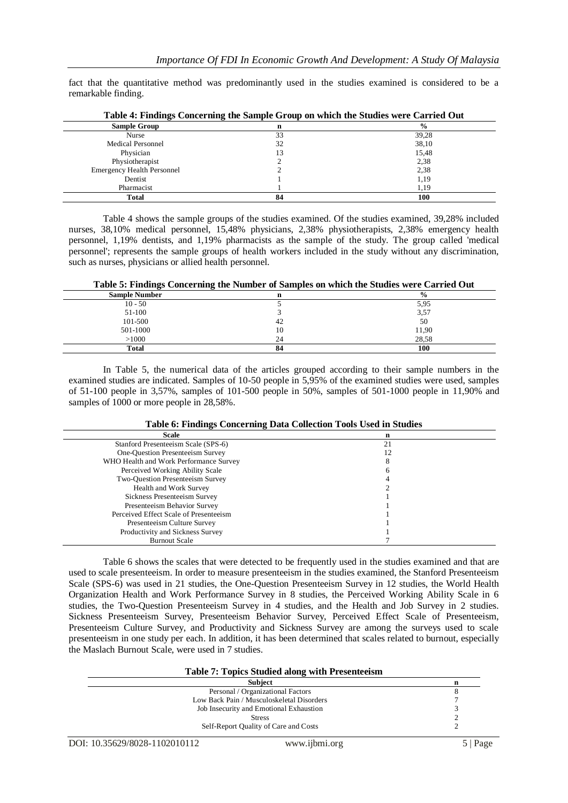fact that the quantitative method was predominantly used in the studies examined is considered to be a remarkable finding.

| $\cdot$<br><b>Sample Group</b> | n  | $\frac{0}{0}$ |
|--------------------------------|----|---------------|
| Nurse                          | 33 | 39,28         |
| <b>Medical Personnel</b>       | 32 | 38,10         |
| Physician                      |    | 15,48         |
| Physiotherapist                |    | 2,38          |
| Emergency Health Personnel     |    | 2,38          |
| Dentist                        |    | 1,19          |
| Pharmacist                     |    | 1,19          |
| <b>Total</b>                   | 84 | 100           |

|  | Table 4: Findings Concerning the Sample Group on which the Studies were Carried Out |
|--|-------------------------------------------------------------------------------------|
|  |                                                                                     |

Table 4 shows the sample groups of the studies examined. Of the studies examined, 39,28% included nurses, 38,10% medical personnel, 15,48% physicians, 2,38% physiotherapists, 2,38% emergency health personnel, 1,19% dentists, and 1,19% pharmacists as the sample of the study. The group called 'medical personnel'; represents the sample groups of health workers included in the study without any discrimination, such as nurses, physicians or allied health personnel.

**Table 5: Findings Concerning the Number of Samples on which the Studies were Carried Out**

| <b>Sample Number</b> |    | $\frac{6}{6}$ |
|----------------------|----|---------------|
| $10 - 50$            |    | 5,95          |
| 51-100               |    | 3,57          |
| 101-500              | 42 | 50            |
| 501-1000             | 10 | 11,90         |
| >1000                | 24 | 28,58         |
| <b>Total</b>         | 84 | 100           |
|                      |    |               |

In Table 5, the numerical data of the articles grouped according to their sample numbers in the examined studies are indicated. Samples of 10-50 people in 5,95% of the examined studies were used, samples of 51-100 people in 3,57%, samples of 101-500 people in 50%, samples of 501-1000 people in 11,90% and samples of  $1000$  or more people in 28,58%.

| Table 6: Findings Concerning Data Collection Tools Used in Studies |  |  |  |  |
|--------------------------------------------------------------------|--|--|--|--|
|--------------------------------------------------------------------|--|--|--|--|

| <b>Scale</b>                           | n  |
|----------------------------------------|----|
| Stanford Presenteeism Scale (SPS-6)    | 21 |
| One-Question Presenteeism Survey       |    |
| WHO Health and Work Performance Survey |    |
| Perceived Working Ability Scale        |    |
| Two-Ouestion Presenteeism Survey       |    |
| Health and Work Survey                 |    |
| Sickness Presenteeism Survey           |    |
| Presenteeism Behavior Survey           |    |
| Perceived Effect Scale of Presenteeism |    |
| Presenteeism Culture Survey            |    |
| Productivity and Sickness Survey       |    |
| <b>Burnout Scale</b>                   |    |

Table 6 shows the scales that were detected to be frequently used in the studies examined and that are used to scale presenteeism. In order to measure presenteeism in the studies examined, the Stanford Presenteeism Scale (SPS-6) was used in 21 studies, the One-Question Presenteeism Survey in 12 studies, the World Health Organization Health and Work Performance Survey in 8 studies, the Perceived Working Ability Scale in 6 studies, the Two-Question Presenteeism Survey in 4 studies, and the Health and Job Survey in 2 studies. Sickness Presenteeism Survey, Presenteeism Behavior Survey, Perceived Effect Scale of Presenteeism, Presenteeism Culture Survey, and Productivity and Sickness Survey are among the surveys used to scale presenteeism in one study per each. In addition, it has been determined that scales related to burnout, especially the Maslach Burnout Scale, were used in 7 studies.

| <b>Table 7: Topics Studied along with Presenteeism</b> |   |  |
|--------------------------------------------------------|---|--|
| <b>Subject</b>                                         | n |  |
| Personal / Organizational Factors                      |   |  |
| Low Back Pain / Musculoskeletal Disorders              |   |  |
| Job Insecurity and Emotional Exhaustion                |   |  |
| <b>Stress</b>                                          |   |  |
| Self-Report Quality of Care and Costs                  |   |  |
|                                                        |   |  |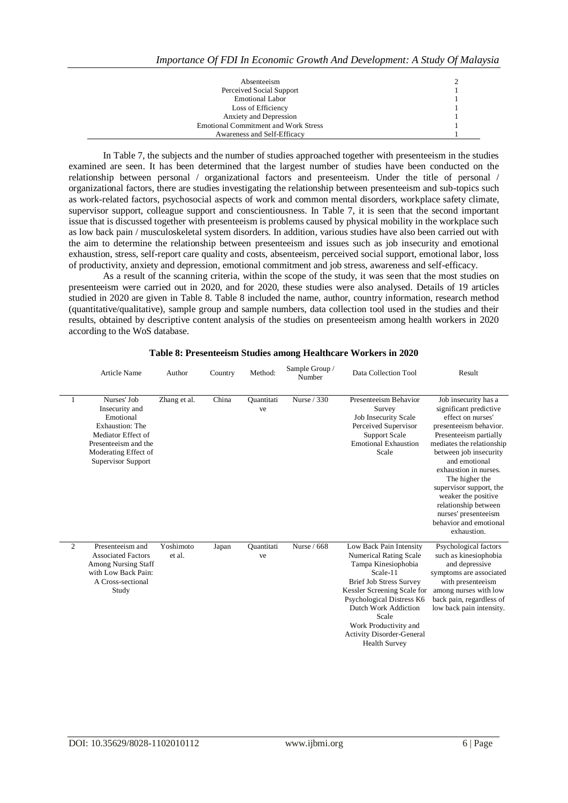| Absenteeism                                 |  |
|---------------------------------------------|--|
| Perceived Social Support                    |  |
| <b>Emotional Labor</b>                      |  |
| Loss of Efficiency                          |  |
| Anxiety and Depression                      |  |
| <b>Emotional Commitment and Work Stress</b> |  |
| Awareness and Self-Efficacy                 |  |

In Table 7, the subjects and the number of studies approached together with presenteeism in the studies examined are seen. It has been determined that the largest number of studies have been conducted on the relationship between personal / organizational factors and presenteeism. Under the title of personal / organizational factors, there are studies investigating the relationship between presenteeism and sub-topics such as work-related factors, psychosocial aspects of work and common mental disorders, workplace safety climate, supervisor support, colleague support and conscientiousness. In Table 7, it is seen that the second important issue that is discussed together with presenteeism is problems caused by physical mobility in the workplace such as low back pain / musculoskeletal system disorders. In addition, various studies have also been carried out with the aim to determine the relationship between presenteeism and issues such as job insecurity and emotional exhaustion, stress, self-report care quality and costs, absenteeism, perceived social support, emotional labor, loss of productivity, anxiety and depression, emotional commitment and job stress, awareness and self-efficacy.

As a result of the scanning criteria, within the scope of the study, it was seen that the most studies on presenteeism were carried out in 2020, and for 2020, these studies were also analysed. Details of 19 articles studied in 2020 are given in Table 8. Table 8 included the name, author, country information, research method (quantitative/qualitative), sample group and sample numbers, data collection tool used in the studies and their results, obtained by descriptive content analysis of the studies on presenteeism among health workers in 2020 according to the WoS database.

|                | <b>Article Name</b>                                                                                                                                       | Author              | Country | Method:                 | Sample Group /<br>Number | Data Collection Tool                                                                                                                                                                                                                                                                                            | Result                                                                                                                                                                                                                                                                                                                                                                                |
|----------------|-----------------------------------------------------------------------------------------------------------------------------------------------------------|---------------------|---------|-------------------------|--------------------------|-----------------------------------------------------------------------------------------------------------------------------------------------------------------------------------------------------------------------------------------------------------------------------------------------------------------|---------------------------------------------------------------------------------------------------------------------------------------------------------------------------------------------------------------------------------------------------------------------------------------------------------------------------------------------------------------------------------------|
| 1              | Nurses' Job<br>Insecurity and<br>Emotional<br>Exhaustion: The<br>Mediator Effect of<br>Presenteeism and the<br>Moderating Effect of<br>Supervisor Support | Zhang et al.        | China   | <b>Ouantitati</b><br>ve | Nurse / 330              | Presenteeism Behavior<br>Survey<br><b>Job Insecurity Scale</b><br>Perceived Supervisor<br><b>Support Scale</b><br><b>Emotional Exhaustion</b><br>Scale                                                                                                                                                          | Job insecurity has a<br>significant predictive<br>effect on nurses'<br>presenteeism behavior.<br>Presenteeism partially<br>mediates the relationship<br>between job insecurity<br>and emotional<br>exhaustion in nurses.<br>The higher the<br>supervisor support, the<br>weaker the positive<br>relationship between<br>nurses' presenteeism<br>behavior and emotional<br>exhaustion. |
| $\overline{c}$ | Presenteeism and<br><b>Associated Factors</b><br><b>Among Nursing Staff</b><br>with Low Back Pain:<br>A Cross-sectional<br>Study                          | Yoshimoto<br>et al. | Japan   | <b>Ouantitati</b><br>ve | Nurse / 668              | Low Back Pain Intensity<br><b>Numerical Rating Scale</b><br>Tampa Kinesiophobia<br>Scale-11<br><b>Brief Job Stress Survey</b><br>Kessler Screening Scale for<br>Psychological Distress K6<br>Dutch Work Addiction<br>Scale<br>Work Productivity and<br><b>Activity Disorder-General</b><br><b>Health Survey</b> | Psychological factors<br>such as kinesiophobia<br>and depressive<br>symptoms are associated<br>with presenteeism<br>among nurses with low<br>back pain, regardless of<br>low back pain intensity.                                                                                                                                                                                     |

#### **Table 8: Presenteeism Studies among Healthcare Workers in 2020**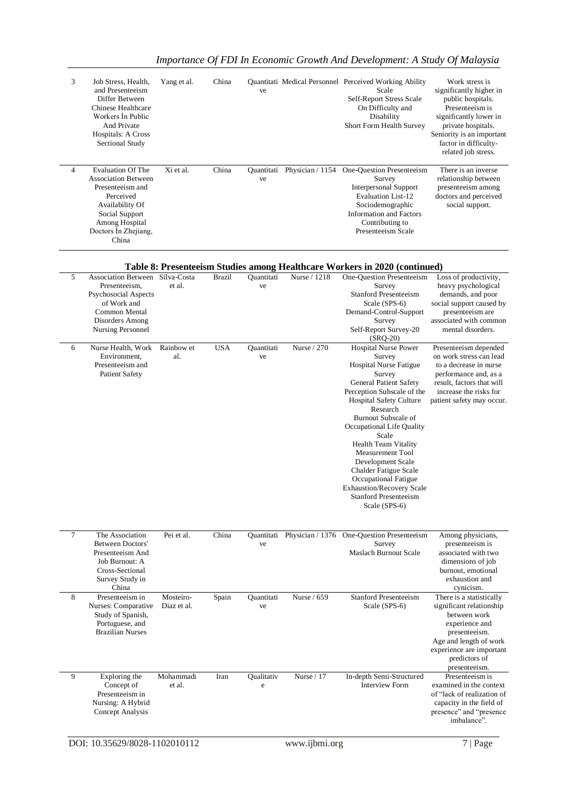| 3              | Job Stress, Health,<br>and Presenteeism<br>Differ Between<br>Chinese Healthcare<br>Workers In Public<br>And Private<br>Hospitals: A Cross<br><b>Sectional Study</b>             | Yang et al.              | China         | ve               |                  | Quantitati Medical Personnel Perceived Working Ability<br>Scale<br>Self-Report Stress Scale<br>On Difficulty and<br>Disability<br>Short Form Health Survey                                                                                                                                                                                                                                                                                                 | Work stress is<br>significantly higher in<br>public hospitals.<br>Presenteeism is<br>significantly lower in<br>private hospitals.<br>Seniority is an important<br>factor in difficulty-<br>related job stress. |
|----------------|---------------------------------------------------------------------------------------------------------------------------------------------------------------------------------|--------------------------|---------------|------------------|------------------|------------------------------------------------------------------------------------------------------------------------------------------------------------------------------------------------------------------------------------------------------------------------------------------------------------------------------------------------------------------------------------------------------------------------------------------------------------|----------------------------------------------------------------------------------------------------------------------------------------------------------------------------------------------------------------|
| 4              | <b>Evaluation Of The</b><br><b>Association Between</b><br>Presenteeism and<br>Perceived<br>Availability Of<br>Social Support<br>Among Hospital<br>Doctors In Zhejiang,<br>China | Xi et al.                | China         | Quantitati<br>ve | Physician / 1154 | One-Question Presenteeism<br>Survey<br><b>Interpersonal Support</b><br><b>Evaluation List-12</b><br>Sociodemographic<br><b>Information and Factors</b><br>Contributing to<br>Presenteeism Scale                                                                                                                                                                                                                                                            | There is an inverse<br>relationship between<br>presenteeism among<br>doctors and perceived<br>social support.                                                                                                  |
|                |                                                                                                                                                                                 |                          |               |                  |                  | Table 8: Presenteeism Studies among Healthcare Workers in 2020 (continued)                                                                                                                                                                                                                                                                                                                                                                                 |                                                                                                                                                                                                                |
| 5              | Association Between Silva-Costa<br>Presenteeism,<br>Psychosocial Aspects<br>of Work and<br>Common Mental<br>Disorders Among<br><b>Nursing Personnel</b>                         | et al.                   | <b>Brazil</b> | Quantitati<br>ve | Nurse / 1218     | One-Question Presenteeism<br>Survey<br><b>Stanford Presenteeism</b><br>Scale (SPS-6)<br>Demand-Control-Support<br>Survey<br>Self-Report Survey-20<br>$(SRQ-20)$                                                                                                                                                                                                                                                                                            | Loss of productivity,<br>heavy psychological<br>demands, and poor<br>social support caused by<br>presenteeism are<br>associated with common<br>mental disorders.                                               |
| 6              | Nurse Health, Work<br>Environment,<br>Presenteeism and<br><b>Patient Safety</b>                                                                                                 | Rainbow et<br>al.        | <b>USA</b>    | Quantitati<br>ve | Nurse / 270      | <b>Hospital Nurse Power</b><br>Survey<br><b>Hospital Nurse Fatigue</b><br>Survey<br>General Patient Safety<br>Perception Subscale of the<br>Hospital Safety Culture<br>Research<br>Burnout Subscale of<br>Occupational Life Quality<br>Scale<br><b>Health Team Vitality</b><br>Measurement Tool<br>Development Scale<br>Chalder Fatigue Scale<br>Occupational Fatigue<br><b>Exhaustion/Recovery Scale</b><br><b>Stanford Presenteeism</b><br>Scale (SPS-6) | Presenteeism depended<br>on work stress can lead<br>to a decrease in nurse<br>performance and, as a<br>result, factors that will<br>increase the risks for<br>patient safety may occur.                        |
| $\overline{7}$ | The Association<br>Between Doctors'<br>Presenteeism And<br>Job Burnout: A<br>Cross-Sectional<br>Survey Study in<br>China                                                        | Pei et al.               | China         | Quantitati<br>ve | Physician / 1376 | One-Question Presenteeism<br>Survey<br>Maslach Burnout Scale                                                                                                                                                                                                                                                                                                                                                                                               | Among physicians,<br>presenteeism is<br>associated with two<br>dimensions of job<br>burnout, emotional<br>exhaustion and<br>cynicism.                                                                          |
| 8              | Presenteeism in<br>Nurses: Comparative<br>Study of Spanish,<br>Portuguese, and<br><b>Brazilian Nurses</b>                                                                       | Mosteiro-<br>Diaz et al. | Spain         | Quantitati<br>ve | Nurse / 659      | <b>Stanford Presenteeism</b><br>Scale (SPS-6)                                                                                                                                                                                                                                                                                                                                                                                                              | There is a statistically<br>significant relationship<br>between work<br>experience and<br>presenteeism.<br>Age and length of work<br>experience are important<br>predictors of<br>presenteeism.                |
| 9              | Exploring the<br>Concept of<br>Presenteeism in<br>Nursing: A Hybrid<br>Concept Analysis                                                                                         | Mohammadi<br>et al.      | Iran          | Qualitativ<br>e  | Nurse / 17       | In-depth Semi-Structured<br>Interview Form                                                                                                                                                                                                                                                                                                                                                                                                                 | Presenteeism is<br>examined in the context<br>of "lack of realization of<br>capacity in the field of<br>presence" and "presence<br>imbalance".                                                                 |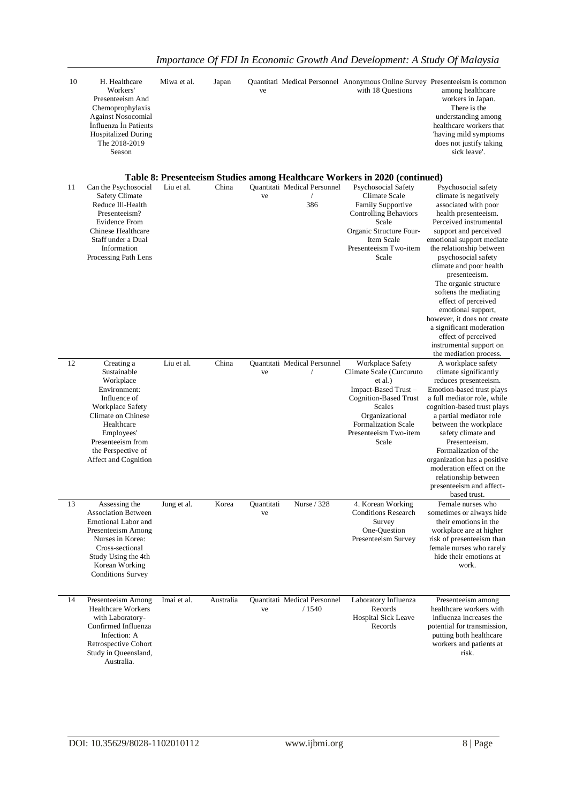| 10 | H. Healthcare<br>Workers'<br>Presenteeism And<br>Chemoprophylaxis<br><b>Against Nosocomial</b><br>Influenza In Patients<br><b>Hospitalized During</b><br>The 2018-2019<br>Season                            | Miwa et al. | Japan     | ve               |                                                          | Quantitati Medical Personnel Anonymous Online Survey Presenteeism is common<br>with 18 Questions                                                                                              | among healthcare<br>workers in Japan.<br>There is the<br>understanding among<br>healthcare workers that<br>'having mild symptoms<br>does not justify taking<br>sick leave'.                                                                                                                                                                                                                 |
|----|-------------------------------------------------------------------------------------------------------------------------------------------------------------------------------------------------------------|-------------|-----------|------------------|----------------------------------------------------------|-----------------------------------------------------------------------------------------------------------------------------------------------------------------------------------------------|---------------------------------------------------------------------------------------------------------------------------------------------------------------------------------------------------------------------------------------------------------------------------------------------------------------------------------------------------------------------------------------------|
|    |                                                                                                                                                                                                             |             |           |                  |                                                          | Table 8: Presenteeism Studies among Healthcare Workers in 2020 (continued)                                                                                                                    |                                                                                                                                                                                                                                                                                                                                                                                             |
| 11 | Can the Psychosocial<br><b>Safety Climate</b><br>Reduce Ill-Health<br>Presenteeism?<br>Evidence From<br>Chinese Healthcare<br>Staff under a Dual<br>Information<br>Processing Path Lens                     | Liu et al.  | China     | ve               | <b>Quantitati Medical Personnel</b><br>$\sqrt{2}$<br>386 | Psychosocial Safety<br>Climate Scale<br>Family Supportive<br><b>Controlling Behaviors</b><br>Scale<br>Organic Structure Four-<br>Item Scale<br>Presenteeism Two-item<br>Scale                 | Psychosocial safety<br>climate is negatively<br>associated with poor<br>health presenteeism.<br>Perceived instrumental<br>support and perceived<br>emotional support mediate<br>the relationship between<br>psychosocial safety<br>climate and poor health<br>presenteeism.<br>The organic structure<br>softens the mediating<br>effect of perceived                                        |
| 12 | Creating a                                                                                                                                                                                                  | Liu et al.  | China     |                  | Quantitati Medical Personnel                             | Workplace Safety                                                                                                                                                                              | emotional support,<br>however, it does not create<br>a significant moderation<br>effect of perceived<br>instrumental support on<br>the mediation process.<br>A workplace safety                                                                                                                                                                                                             |
|    | Sustainable<br>Workplace<br>Environment:<br>Influence of<br>Workplace Safety<br>Climate on Chinese<br>Healthcare<br>Employees'<br>Presenteeism from<br>the Perspective of<br>Affect and Cognition           |             |           | ve               |                                                          | Climate Scale (Curcuruto<br>et al.)<br>Impact-Based Trust-<br><b>Cognition-Based Trust</b><br><b>Scales</b><br>Organizational<br><b>Formalization Scale</b><br>Presenteeism Two-item<br>Scale | climate significantly<br>reduces presenteeism.<br>Emotion-based trust plays<br>a full mediator role, while<br>cognition-based trust plays<br>a partial mediator role<br>between the workplace<br>safety climate and<br>Presenteeism.<br>Formalization of the<br>organization has a positive<br>moderation effect on the<br>relationship between<br>presenteeism and affect-<br>based trust. |
| 13 | Assessing the<br><b>Association Between</b><br><b>Emotional Labor and</b><br>Presenteeism Among<br>Nurses in Korea:<br>Cross-sectional<br>Study Using the 4th<br>Korean Working<br><b>Conditions Survey</b> | Jung et al. | Korea     | Quantitati<br>ve | Nurse / 328                                              | 4. Korean Working<br><b>Conditions Research</b><br>Survey<br>One-Question<br>Presenteeism Survey                                                                                              | Female nurses who<br>sometimes or always hide<br>their emotions in the<br>workplace are at higher<br>risk of presenteeism than<br>female nurses who rarely<br>hide their emotions at<br>work.                                                                                                                                                                                               |
| 14 | Presenteeism Among<br><b>Healthcare Workers</b><br>with Laboratory-<br>Confirmed Influenza<br>Infection: A<br>Retrospective Cohort<br>Study in Queensland,<br>Australia.                                    | Imai et al. | Australia | ve               | Quantitati Medical Personnel<br>/1540                    | Laboratory Influenza<br>Records<br><b>Hospital Sick Leave</b><br>Records                                                                                                                      | Presenteeism among<br>healthcare workers with<br>influenza increases the<br>potential for transmission,<br>putting both healthcare<br>workers and patients at<br>risk.                                                                                                                                                                                                                      |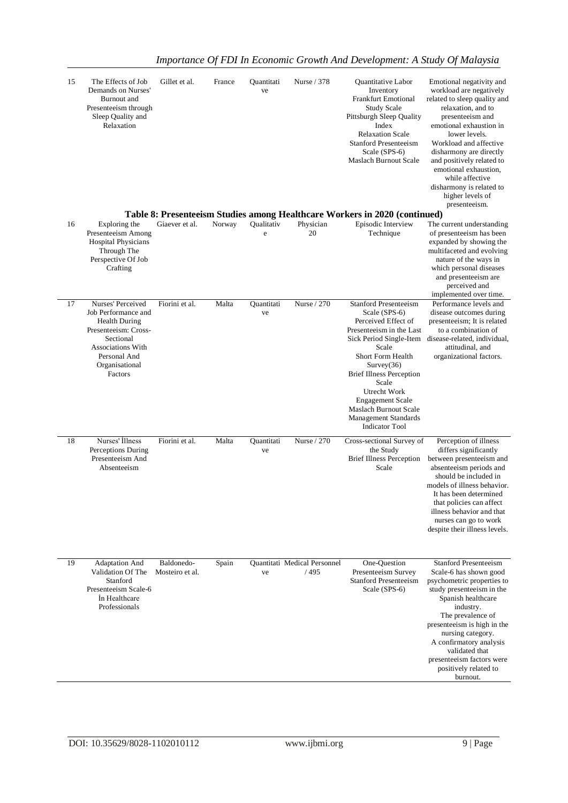| 15 | The Effects of Job<br>Demands on Nurses'<br>Burnout and<br>Presenteeism through<br>Sleep Quality and<br>Relaxation                                                             | Gillet et al.                 | France | Quantitati<br>ve | Nurse / 378                          | Quantitative Labor<br>Inventory<br>Frankfurt Emotional<br><b>Study Scale</b><br>Pittsburgh Sleep Quality<br>Index<br><b>Relaxation Scale</b><br><b>Stanford Presenteeism</b><br>Scale (SPS-6)<br><b>Maslach Burnout Scale</b>                                                                                                                   | Emotional negativity and<br>workload are negatively<br>related to sleep quality and<br>relaxation, and to<br>presenteeism and<br>emotional exhaustion in<br>lower levels.<br>Workload and affective<br>disharmony are directly<br>and positively related to<br>emotional exhaustion,<br>while affective<br>disharmony is related to<br>higher levels of<br>presenteeism. |
|----|--------------------------------------------------------------------------------------------------------------------------------------------------------------------------------|-------------------------------|--------|------------------|--------------------------------------|-------------------------------------------------------------------------------------------------------------------------------------------------------------------------------------------------------------------------------------------------------------------------------------------------------------------------------------------------|--------------------------------------------------------------------------------------------------------------------------------------------------------------------------------------------------------------------------------------------------------------------------------------------------------------------------------------------------------------------------|
| 16 | Exploring the                                                                                                                                                                  | Giaever et al.                | Norway | Qualitativ       | Physician                            | Table 8: Presenteeism Studies among Healthcare Workers in 2020 (continued)<br>Episodic Interview                                                                                                                                                                                                                                                | The current understanding                                                                                                                                                                                                                                                                                                                                                |
|    | Presenteeism Among<br><b>Hospital Physicians</b><br>Through The<br>Perspective Of Job<br>Crafting                                                                              |                               |        | e                | 20                                   | Technique                                                                                                                                                                                                                                                                                                                                       | of presenteeism has been<br>expanded by showing the<br>multifaceted and evolving<br>nature of the ways in<br>which personal diseases<br>and presenteeism are<br>perceived and<br>implemented over time.                                                                                                                                                                  |
| 17 | Nurses' Perceived<br>Job Performance and<br><b>Health During</b><br>Presenteeism: Cross-<br>Sectional<br><b>Associations With</b><br>Personal And<br>Organisational<br>Factors | Fiorini et al.                | Malta  | Quantitati<br>ve | Nurse / 270                          | <b>Stanford Presenteeism</b><br>Scale (SPS-6)<br>Perceived Effect of<br>Presenteeism in the Last<br>Sick Period Single-Item<br>Scale<br>Short Form Health<br>Survey(36)<br><b>Brief Illness Perception</b><br>Scale<br>Utrecht Work<br><b>Engagement Scale</b><br>Maslach Burnout Scale<br><b>Management Standards</b><br><b>Indicator Tool</b> | Performance levels and<br>disease outcomes during<br>presenteeism; It is related<br>to a combination of<br>disease-related, individual.<br>attitudinal, and<br>organizational factors.                                                                                                                                                                                   |
| 18 | Nurses' Illness<br>Perceptions During<br>Presenteeism And<br>Absenteeism                                                                                                       | Fiorini et al.                | Malta  | Quantitati<br>ve | Nurse / 270                          | Cross-sectional Survey of<br>the Study<br><b>Brief Illness Perception</b><br>Scale                                                                                                                                                                                                                                                              | Perception of illness<br>differs significantly<br>between presenteeism and<br>absenteeism periods and<br>should be included in<br>models of illness behavior.<br>It has been determined<br>that policies can affect<br>illness behavior and that<br>nurses can go to work<br>despite their illness levels.                                                               |
| 19 | <b>Adaptation And</b><br>Validation Of The<br>Stanford<br>Presenteeism Scale-6<br>In Healthcare<br>Professionals                                                               | Baldonedo-<br>Mosteiro et al. | Spain  | ve               | Quantitati Medical Personnel<br>/495 | One-Question<br>Presenteeism Survey<br><b>Stanford Presenteeism</b><br>Scale (SPS-6)                                                                                                                                                                                                                                                            | <b>Stanford Presenteeism</b><br>Scale-6 has shown good<br>psychometric properties to<br>study presenteeism in the<br>Spanish healthcare<br>industry.<br>The prevalence of<br>presenteeism is high in the<br>nursing category.<br>A confirmatory analysis<br>validated that<br>presenteeism factors were<br>positively related to<br>burnout.                             |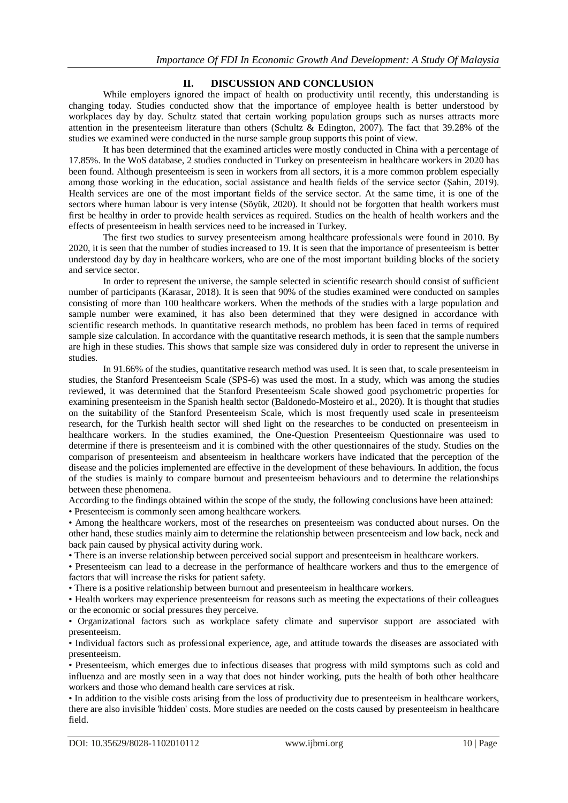## **II. DISCUSSION AND CONCLUSION**

While employers ignored the impact of health on productivity until recently, this understanding is changing today. Studies conducted show that the importance of employee health is better understood by workplaces day by day. Schultz stated that certain working population groups such as nurses attracts more attention in the presenteeism literature than others (Schultz & Edington, 2007). The fact that 39.28% of the studies we examined were conducted in the nurse sample group supports this point of view.

It has been determined that the examined articles were mostly conducted in China with a percentage of 17.85%. In the WoS database, 2 studies conducted in Turkey on presenteeism in healthcare workers in 2020 has been found. Although presenteeism is seen in workers from all sectors, it is a more common problem especially among those working in the education, social assistance and health fields of the service sector (Şahin, 2019). Health services are one of the most important fields of the service sector. At the same time, it is one of the sectors where human labour is very intense (Söyük, 2020). It should not be forgotten that health workers must first be healthy in order to provide health services as required. Studies on the health of health workers and the effects of presenteeism in health services need to be increased in Turkey.

The first two studies to survey presenteeism among healthcare professionals were found in 2010. By 2020, it is seen that the number of studies increased to 19. It is seen that the importance of presenteeism is better understood day by day in healthcare workers, who are one of the most important building blocks of the society and service sector.

In order to represent the universe, the sample selected in scientific research should consist of sufficient number of participants (Karasar, 2018). It is seen that 90% of the studies examined were conducted on samples consisting of more than 100 healthcare workers. When the methods of the studies with a large population and sample number were examined, it has also been determined that they were designed in accordance with scientific research methods. In quantitative research methods, no problem has been faced in terms of required sample size calculation. In accordance with the quantitative research methods, it is seen that the sample numbers are high in these studies. This shows that sample size was considered duly in order to represent the universe in studies.

In 91.66% of the studies, quantitative research method was used. It is seen that, to scale presenteeism in studies, the Stanford Presenteeism Scale (SPS-6) was used the most. In a study, which was among the studies reviewed, it was determined that the Stanford Presenteeism Scale showed good psychometric properties for examining presenteeism in the Spanish health sector (Baldonedo-Mosteiro et al., 2020). It is thought that studies on the suitability of the Stanford Presenteeism Scale, which is most frequently used scale in presenteeism research, for the Turkish health sector will shed light on the researches to be conducted on presenteeism in healthcare workers. In the studies examined, the One-Question Presenteeism Questionnaire was used to determine if there is presenteeism and it is combined with the other questionnaires of the study. Studies on the comparison of presenteeism and absenteeism in healthcare workers have indicated that the perception of the disease and the policies implemented are effective in the development of these behaviours. In addition, the focus of the studies is mainly to compare burnout and presenteeism behaviours and to determine the relationships between these phenomena.

According to the findings obtained within the scope of the study, the following conclusions have been attained: • Presenteeism is commonly seen among healthcare workers.

• Among the healthcare workers, most of the researches on presenteeism was conducted about nurses. On the other hand, these studies mainly aim to determine the relationship between presenteeism and low back, neck and back pain caused by physical activity during work.

• There is an inverse relationship between perceived social support and presenteeism in healthcare workers.

• Presenteeism can lead to a decrease in the performance of healthcare workers and thus to the emergence of factors that will increase the risks for patient safety.

• There is a positive relationship between burnout and presenteeism in healthcare workers.

• Health workers may experience presenteeism for reasons such as meeting the expectations of their colleagues or the economic or social pressures they perceive.

• Organizational factors such as workplace safety climate and supervisor support are associated with presenteeism.

• Individual factors such as professional experience, age, and attitude towards the diseases are associated with presenteeism.

• Presenteeism, which emerges due to infectious diseases that progress with mild symptoms such as cold and influenza and are mostly seen in a way that does not hinder working, puts the health of both other healthcare workers and those who demand health care services at risk.

• In addition to the visible costs arising from the loss of productivity due to presenteeism in healthcare workers, there are also invisible 'hidden' costs. More studies are needed on the costs caused by presenteeism in healthcare field.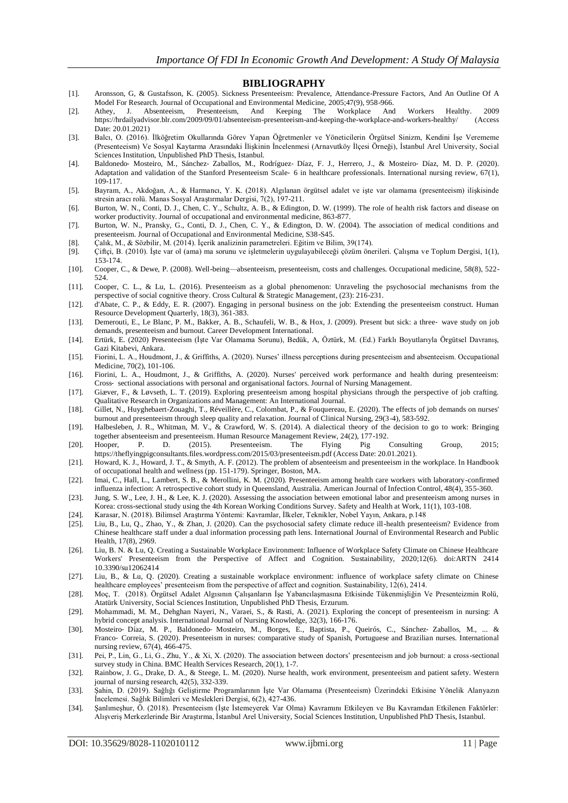#### **BIBLIOGRAPHY**

- [1]. Aronsson, G, & Gustafsson, K. (2005). Sickness Presenteeism: Prevalence, Attendance-Pressure Factors, And An Outline Of A Model For Research. Journal of Occupational and Environmental Medicine, 2005;47(9), 958-966.
- [2]. Athey, J. Absenteeism, Presenteeism, And Keeping The Workplace And Workers Healthy. 2009 https://hrdailyadvisor.blr.com/2009/09/01/absenteeism-presenteeism-and-keeping-the-workplace-and-workers-healthy/ (Access Date: 20.01.2021)
- [3]. Balcı, O. (2016). İlköğretim Okullarında Görev Yapan Öğretmenler ve Yöneticilerin Örgütsel Sinizm, Kendini İşe Verememe (Presenteeism) Ve Sosyal Kaytarma Arasındaki İlişkinin İncelenmesi (Arnavutköy İlçesi Örneği), İstanbul Arel University, Social Sciences Institution, Unpublished PhD Thesis, Istanbul.
- [4]. Baldonedo‐ Mosteiro, M., Sánchez‐ Zaballos, M., Rodríguez‐ Díaz, F. J., Herrero, J., & Mosteiro‐ Díaz, M. D. P. (2020). Adaptation and validation of the Stanford Presenteeism Scale- 6 in healthcare professionals. International nursing review, 67(1), 109-117.
- [5]. Bayram, A., Akdoğan, A., & Harmancı, Y. K. (2018). Algılanan örgütsel adalet ve işte var olamama (presenteeism) ilişkisinde stresin aracı rolü. Manas Sosyal Araştırmalar Dergisi, 7(2), 197-211.
- [6]. Burton, W. N., Conti, D. J., Chen, C. Y., Schultz, A. B., & Edington, D. W. (1999). The role of health risk factors and disease on worker productivity. Journal of occupational and environmental medicine, 863-877.
- [7]. Burton, W. N., Pransky, G., Conti, D. J., Chen, C. Y., & Edington, D. W. (2004). The association of medical conditions and presenteeism. Journal of Occupational and Environmental Medicine, S38-S45.
- [8]. Çalık, M., & Sözbilir, M. (2014). İçerik analizinin parametreleri. Eğitim ve Bilim, 39(174).
- [9]. Çiftçi, B. (2010). İşte var ol (ama) ma sorunu ve işletmelerin uygulayabileceği çözüm önerileri. Çalışma ve Toplum Dergisi, 1(1), 153-174.
- [10]. Cooper, C., & Dewe, P. (2008). Well-being—absenteeism, presenteeism, costs and challenges. Occupational medicine, 58(8), 522- 524.
- [11]. Cooper, C. L., & Lu, L. (2016). Presenteeism as a global phenomenon: Unraveling the psychosocial mechanisms from the perspective of social cognitive theory. Cross Cultural & Strategic Management, (23): 216-231.
- [12]. d'Abate, C. P., & Eddy, E. R. (2007). Engaging in personal business on the job: Extending the presenteeism construct. Human Resource Development Quarterly, 18(3), 361-383.
- [13]. Demerouti, E., Le Blanc, P. M., Bakker, A. B., Schaufeli, W. B., & Hox, J. (2009). Present but sick: a three‐ wave study on job demands, presenteeism and burnout. Career Development International.
- [14]. Ertürk, E. (2020) Presenteeism (İşte Var Olamama Sorunu), Bedük, A, Öztürk, M. (Ed.) Farklı Boyutlarıyla Örgütsel Davranış, Gazi Kitabevi, Ankara.
- [15]. Fiorini, L. A., Houdmont, J., & Griffiths, A. (2020). Nurses' illness perceptions during presenteeism and absenteeism. Occupational Medicine, 70(2), 101-106.
- [16]. Fiorini, L. A., Houdmont, J., & Griffiths, A. (2020). Nurses' perceived work performance and health during presenteeism: Cross‐ sectional associations with personal and organisational factors. Journal of Nursing Management.
- [17]. Giæver, F., & Løvseth, L. T. (2019). Exploring presenteeism among hospital physicians through the perspective of job crafting. Qualitative Research in Organizations and Management: An International Journal.
- [18]. Gillet, N., Huyghebaert-Zouaghi, T., Réveillère, C., Colombat, P., & Fouquereau, E. (2020). The effects of job demands on nurses' burnout and presenteeism through sleep quality and relaxation. Journal of Clinical Nursing, 29(3-4), 583-592.
- [19]. Halbesleben, J. R., Whitman, M. V., & Crawford, W. S. (2014). A dialectical theory of the decision to go to work: Bringing together absenteeism and presenteeism. Human Resource Management Review, 24(2), 177-192.<br>Hooper, P. D. (2015). Presenteeism. The Flying Pig
- [20]. Hooper, P. D. (2015). Presenteeism. The Flying Pig Consulting Group, 2015; https://theflyingpigconsultants.files.wordpress.com/2015/03/presenteeism.pdf (Access Date: 20.01.2021).
- [21]. Howard, K. J., Howard, J. T., & Smyth, A. F. (2012). The problem of absenteeism and presenteeism in the workplace. In Handbook of occupational health and wellness (pp. 151-179). Springer, Boston, MA.
- [22]. Imai, C., Hall, L., Lambert, S. B., & Merollini, K. M. (2020). Presenteeism among health care workers with laboratory-confirmed influenza infection: A retrospective cohort study in Queensland, Australia. American Journal of Infection Control, 48(4), 355-360.
- [23]. Jung, S. W., Lee, J. H., & Lee, K. J. (2020). Assessing the association between emotional labor and presenteeism among nurses in Korea: cross-sectional study using the 4th Korean Working Conditions Survey. Safety and Health at Work, 11(1), 103-108.
- [24]. Karasar, N. (2018). Bilimsel Araştırma Yöntemi: Kavramlar, İlkeler, Teknikler, Nobel Yayın, Ankara, p.148
- [25]. Liu, B., Lu, Q., Zhao, Y., & Zhan, J. (2020). Can the psychosocial safety climate reduce ill-health presenteeism? Evidence from Chinese healthcare staff under a dual information processing path lens. International Journal of Environmental Research and Public Health, 17(8), 2969.
- [26]. Liu, B. N. & Lu, Q. Creating a Sustainable Workplace Environment: Influence of Workplace Safety Climate on Chinese Healthcare Workers' Presenteeism from the Perspective of Affect and Cognition. Sustainability, 2020;12(6). doi:ARTN 2414 10.3390/su12062414
- [27]. Liu, B., & Lu, Q. (2020). Creating a sustainable workplace environment: influence of workplace safety climate on Chinese healthcare employees' presenteeism from the perspective of affect and cognition. Sustainability, 12(6), 2414.
- [28]. Moç, T. (2018). Örgütsel Adalet Algısının Çalışanların İşe Yabancılaşmasına Etkisinde Tükenmişliğin Ve Presenteizmin Rolü, Atatürk University, Social Sciences Institution, Unpublished PhD Thesis, Erzurum.
- [29]. Mohammadi, M. M., Dehghan Nayeri, N., Varaei, S., & Rasti, A. (2021). Exploring the concept of presenteeism in nursing: A hybrid concept analysis. International Journal of Nursing Knowledge, 32(3), 166-176.
- [30]. Mosteiro‐ Díaz, M. P., Baldonedo‐ Mosteiro, M., Borges, E., Baptista, P., Queirós, C., Sánchez‐ Zaballos, M., ... & Franco‐ Correia, S. (2020). Presenteeism in nurses: comparative study of Spanish, Portuguese and Brazilian nurses. International nursing review, 67(4), 466-475.
- [31]. Pei, P., Lin, G., Li, G., Zhu, Y., & Xi, X. (2020). The association between doctors' presenteeism and job burnout: a cross-sectional survey study in China. BMC Health Services Research, 20(1), 1-7.
- [32]. Rainbow, J. G., Drake, D. A., & Steege, L. M. (2020). Nurse health, work environment, presenteeism and patient safety. Western journal of nursing research, 42(5), 332-339.
- [33]. Şahin, D. (2019). Sağlığı Geliştirme Programlarının İşte Var Olamama (Presenteeism) Üzerindeki Etkisine Yönelik Alanyazın İncelemesi. Sağlık Bilimleri ve Meslekleri Dergisi, 6(2), 427-436.
- [34]. Şanlımeşhur, Ö. (2018). Presenteeism (İşte İstemeyerek Var Olma) Kavramını Etkileyen ve Bu Kavramdan Etkilenen Faktörler: Alışveriş Merkezlerinde Bir Araştırma, İstanbul Arel University, Social Sciences Institution, Unpublished PhD Thesis, Istanbul.